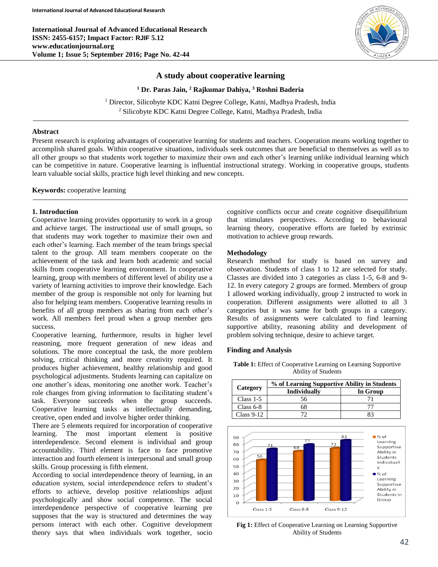**International Journal of Advanced Educational Research ISSN: 2455-6157; Impact Factor: RJIF 5.12 www.educationjournal.org Volume 1; Issue 5; September 2016; Page No. 42-44**



# **A study about cooperative learning**

**<sup>1</sup> Dr. Paras Jain, <sup>2</sup> Rajkumar Dahiya, <sup>3</sup> Roshni Baderia**

<sup>1</sup> Director, Silicobyte KDC Katni Degree College, Katni, Madhya Pradesh, India <sup>2</sup> Silicobyte KDC Katni Degree College, Katni, Madhya Pradesh, India

### **Abstract**

Present research is exploring advantages of cooperative learning for students and teachers. Cooperation means working together to accomplish shared goals. Within cooperative situations, individuals seek outcomes that are beneficial to themselves as well as to all other groups so that students work together to maximize their own and each other's learning unlike individual learning which can be competitive in nature. Cooperative learning is influential instructional strategy. Working in cooperative groups, students learn valuable social skills, practice high level thinking and new concepts.

**Keywords:** cooperative learning

# **1. Introduction**

Cooperative learning provides opportunity to work in a group and achieve target. The instructional use of small groups, so that students may work together to maximize their own and each other's learning. Each member of the team brings special talent to the group. All team members cooperate on the achievement of the task and learn both academic and social skills from cooperative learning environment. In cooperative learning, group with members of different level of ability use a variety of learning activities to improve their knowledge. Each member of the group is responsible not only for learning but also for helping team members. Cooperative learning results in benefits of all group members as sharing from each other's work. All members feel proud when a group member gets success.

Cooperative learning, furthermore, results in higher level reasoning, more frequent generation of new ideas and solutions. The more conceptual the task, the more problem solving, critical thinking and more creativity required. It produces higher achievement, healthy relationship and good psychological adjustments. Students learning can capitalize on one another's ideas, monitoring one another work. Teacher's role changes from giving information to facilitating student's task. Everyone succeeds when the group succeeds. Cooperative learning tasks as intellectually demanding, creative, open ended and involve higher order thinking.

There are 5 elements required for incorporation of cooperative learning. The most important element is positive interdependence. Second element is individual and group accountability. Third element is face to face promotive interaction and fourth element is interpersonal and small group skills. Group processing is fifth element.

According to social interdependence theory of learning, in an education system, social interdependence refers to student's efforts to achieve, develop positive relationships adjust psychologically and show social competence. The social interdependence perspective of cooperative learning pre supposes that the way is structured and determines the way persons interact with each other. Cognitive development theory says that when individuals work together, socio

cognitive conflicts occur and create cognitive disequilibrium that stimulates perspectives. According to behavioural learning theory, cooperative efforts are fueled by extrinsic motivation to achieve group rewards.

#### **Methodology**

Research method for study is based on survey and observation. Students of class 1 to 12 are selected for study. Classes are divided into 3 categories as class 1-5, 6-8 and 9- 12. In every category 2 groups are formed. Members of group 1 allowed working individually, group 2 instructed to work in cooperation. Different assignments were allotted to all 3 categories but it was same for both groups in a category. Results of assignments were calculated to find learning supportive ability, reasoning ability and development of problem solving technique, desire to achieve target.

#### **Finding and Analysis**

**Table 1:** Effect of Cooperative Learning on Learning Supportive Ability of Students

|              | % of Learning Supportive Ability in Students |          |
|--------------|----------------------------------------------|----------|
| Category     | <b>Individually</b>                          | In Group |
| Class $1-5$  | 56                                           |          |
| Class $6-8$  | ร8                                           |          |
| Class $9-12$ |                                              | 23       |



**Fig 1:** Effect of Cooperative Learning on Learning Supportive Ability of Students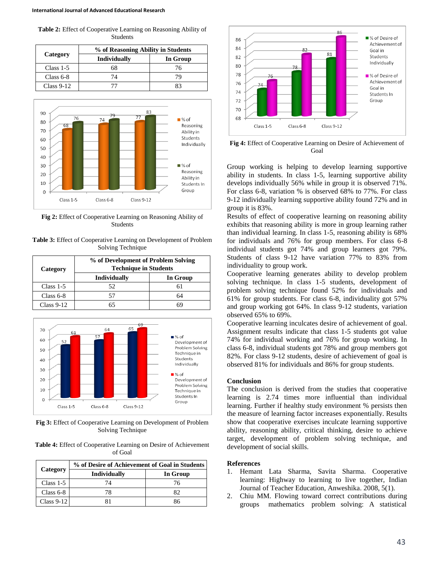**Table 2:** Effect of Cooperative Learning on Reasoning Ability of Students

| Category     | % of Reasoning Ability in Students |          |
|--------------|------------------------------------|----------|
|              | <b>Individually</b>                | In Group |
| Class $1-5$  | 68                                 | 76       |
| Class $6-8$  | 74                                 | 79       |
| $Class 9-12$ |                                    |          |



**Fig 2:** Effect of Cooperative Learning on Reasoning Ability of Students

**Table 3:** Effect of Cooperative Learning on Development of Problem Solving Technique

| Category     | % of Development of Problem Solving<br><b>Technique in Students</b> |          |
|--------------|---------------------------------------------------------------------|----------|
|              | <b>Individually</b>                                                 | In Group |
| Class $1-5$  | 52                                                                  |          |
| Class $6-8$  |                                                                     | 64       |
| $Class 9-12$ |                                                                     |          |



**Fig 3:** Effect of Cooperative Learning on Development of Problem Solving Technique

**Table 4:** Effect of Cooperative Learning on Desire of Achievement of Goal

| Category     | % of Desire of Achievement of Goal in Students |          |
|--------------|------------------------------------------------|----------|
|              | Individually                                   | In Group |
| Class $1-5$  | 74                                             | 76       |
| Class $6-8$  | 78                                             | 82       |
| Class $9-12$ |                                                | 86       |



**Fig 4:** Effect of Cooperative Learning on Desire of Achievement of Goal

Group working is helping to develop learning supportive ability in students. In class 1-5, learning supportive ability develops individually 56% while in group it is observed 71%. For class 6-8, variation % is observed 68% to 77%. For class 9-12 individually learning supportive ability found 72% and in group it is 83%.

Results of effect of cooperative learning on reasoning ability exhibits that reasoning ability is more in group learning rather than individual learning. In class 1-5, reasoning ability is 68% for individuals and 76% for group members. For class 6-8 individual students got 74% and group learners got 79%. Students of class 9-12 have variation 77% to 83% from individuality to group work.

Cooperative learning generates ability to develop problem solving technique. In class 1-5 students, development of problem solving technique found 52% for individuals and 61% for group students. For class 6-8, individuality got 57% and group working got 64%. In class 9-12 students, variation observed 65% to 69%.

Cooperative learning inculcates desire of achievement of goal. Assignment results indicate that class 1-5 students got value 74% for individual working and 76% for group working. In class 6-8, individual students got 78% and group members got 82%. For class 9-12 students, desire of achievement of goal is observed 81% for individuals and 86% for group students.

# **Conclusion**

The conclusion is derived from the studies that cooperative learning is 2.74 times more influential than individual learning. Further if healthy study environment % persists then the measure of learning factor increases exponentially. Results show that cooperative exercises inculcate learning supportive ability, reasoning ability, critical thinking, desire to achieve target, development of problem solving technique, and development of social skills.

# **References**

- 1. Hemant Lata Sharma, Savita Sharma. Cooperative learning: Highway to learning to live together, Indian Journal of Teacher Education, Anweshika. 2008, 5(1).
- 2. Chiu MM. Flowing toward correct contributions during groups mathematics problem solving: A statistical